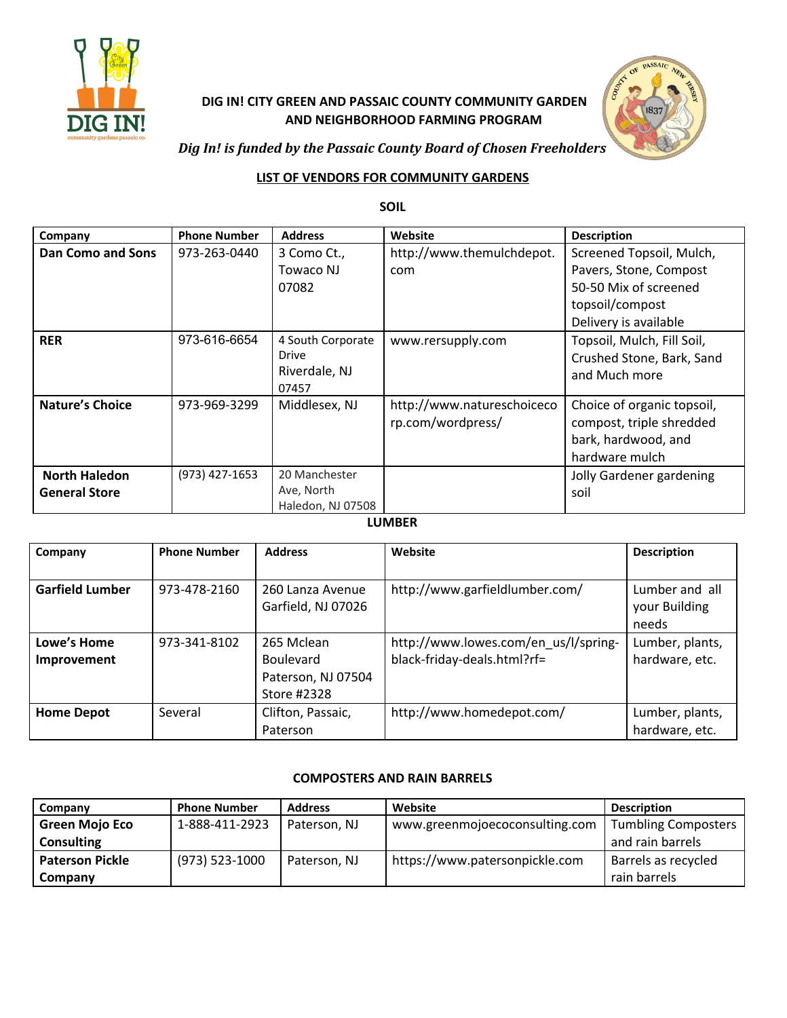

# **DIG IN! CITY GREEN AND PASSAIC COUNTY COMMUNITY GARDEN AND NEIGHBORHOOD FARMING PROGRAM**



## *Dig In! is funded by the Passaic County Board of Chosen Freeholders*

## **LIST OF VENDORS FOR COMMUNITY GARDENS**

**SOIL**

| Company                                      | <b>Phone Number</b> | <b>Address</b>                                       | Website                                         | <b>Description</b>                                                                              |
|----------------------------------------------|---------------------|------------------------------------------------------|-------------------------------------------------|-------------------------------------------------------------------------------------------------|
| <b>Dan Como and Sons</b>                     | 973-263-0440        | 3 Como Ct.,<br>Towaco NJ                             | http://www.themulchdepot.<br>com                | Screened Topsoil, Mulch,<br>Pavers, Stone, Compost                                              |
|                                              |                     | 07082                                                |                                                 | 50-50 Mix of screened<br>topsoil/compost<br>Delivery is available                               |
| <b>RER</b>                                   | 973-616-6654        | 4 South Corporate<br>Drive<br>Riverdale, NJ<br>07457 | www.rersupply.com                               | Topsoil, Mulch, Fill Soil,<br>Crushed Stone, Bark, Sand<br>and Much more                        |
| <b>Nature's Choice</b>                       | 973-969-3299        | Middlesex, NJ                                        | http://www.natureschoiceco<br>rp.com/wordpress/ | Choice of organic topsoil,<br>compost, triple shredded<br>bark, hardwood, and<br>hardware mulch |
| <b>North Haledon</b><br><b>General Store</b> | (973) 427-1653      | 20 Manchester<br>Ave, North<br>Haledon, NJ 07508     |                                                 | Jolly Gardener gardening<br>soil                                                                |

#### **LUMBER**

| Company                | <b>Phone Number</b> | <b>Address</b>     | Website                              | <b>Description</b> |
|------------------------|---------------------|--------------------|--------------------------------------|--------------------|
|                        |                     |                    |                                      |                    |
| <b>Garfield Lumber</b> | 973-478-2160        | 260 Lanza Avenue   | http://www.garfieldlumber.com/       | Lumber and all     |
|                        |                     | Garfield, NJ 07026 |                                      | your Building      |
|                        |                     |                    |                                      | needs              |
| Lowe's Home            | 973-341-8102        | 265 Mclean         | http://www.lowes.com/en_us/l/spring- | Lumber, plants,    |
| <b>Improvement</b>     |                     | <b>Boulevard</b>   | black-friday-deals.html?rf=          | hardware, etc.     |
|                        |                     | Paterson, NJ 07504 |                                      |                    |
|                        |                     | Store #2328        |                                      |                    |
| <b>Home Depot</b>      | Several             | Clifton, Passaic,  | http://www.homedepot.com/            | Lumber, plants,    |
|                        |                     | Paterson           |                                      | hardware, etc.     |

## **COMPOSTERS AND RAIN BARRELS**

| Company                | <b>Phone Number</b> | <b>Address</b> | Website                        | <b>Description</b>         |
|------------------------|---------------------|----------------|--------------------------------|----------------------------|
| <b>Green Mojo Eco</b>  | 1-888-411-2923      | Paterson, NJ   | www.greenmojoecoconsulting.com | <b>Tumbling Composters</b> |
| <b>Consulting</b>      |                     |                |                                | and rain barrels           |
| <b>Paterson Pickle</b> | (973) 523-1000      | Paterson, NJ   | https://www.patersonpickle.com | Barrels as recycled        |
| Company                |                     |                |                                | rain barrels               |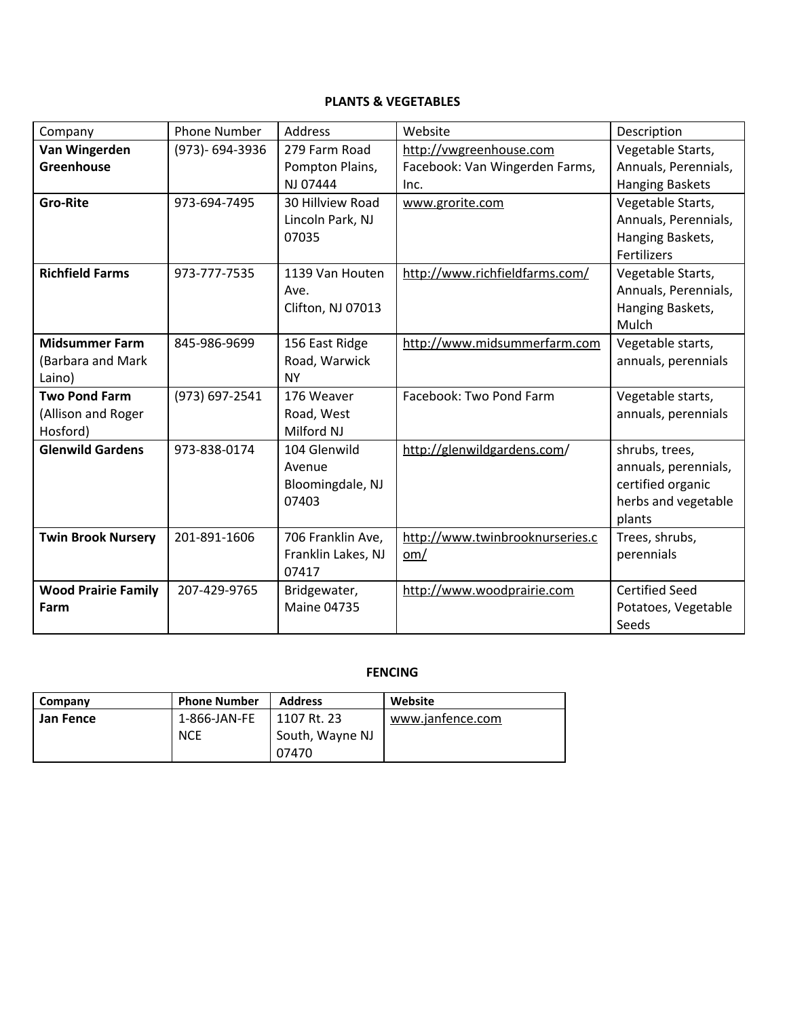## **PLANTS & VEGETABLES**

| Company                    | <b>Phone Number</b> | <b>Address</b>     | Website                         | Description            |
|----------------------------|---------------------|--------------------|---------------------------------|------------------------|
| Van Wingerden              | (973)-694-3936      | 279 Farm Road      | http://vwgreenhouse.com         | Vegetable Starts,      |
| Greenhouse                 |                     | Pompton Plains,    | Facebook: Van Wingerden Farms,  | Annuals, Perennials,   |
|                            |                     | NJ 07444           | Inc.                            | <b>Hanging Baskets</b> |
| <b>Gro-Rite</b>            | 973-694-7495        | 30 Hillview Road   | www.grorite.com                 | Vegetable Starts,      |
|                            |                     | Lincoln Park, NJ   |                                 | Annuals, Perennials,   |
|                            |                     | 07035              |                                 | Hanging Baskets,       |
|                            |                     |                    |                                 | Fertilizers            |
| <b>Richfield Farms</b>     | 973-777-7535        | 1139 Van Houten    | http://www.richfieldfarms.com/  | Vegetable Starts,      |
|                            |                     | Ave.               |                                 | Annuals, Perennials,   |
|                            |                     | Clifton, NJ 07013  |                                 | Hanging Baskets,       |
|                            |                     |                    |                                 | Mulch                  |
| <b>Midsummer Farm</b>      | 845-986-9699        | 156 East Ridge     | http://www.midsummerfarm.com    | Vegetable starts,      |
| (Barbara and Mark          |                     | Road, Warwick      |                                 | annuals, perennials    |
| Laino)                     |                     | <b>NY</b>          |                                 |                        |
| <b>Two Pond Farm</b>       | (973) 697-2541      | 176 Weaver         | Facebook: Two Pond Farm         | Vegetable starts,      |
| (Allison and Roger         |                     | Road, West         |                                 | annuals, perennials    |
| Hosford)                   |                     | Milford NJ         |                                 |                        |
| <b>Glenwild Gardens</b>    | 973-838-0174        | 104 Glenwild       | http://glenwildgardens.com/     | shrubs, trees,         |
|                            |                     | Avenue             |                                 | annuals, perennials,   |
|                            |                     | Bloomingdale, NJ   |                                 | certified organic      |
|                            |                     | 07403              |                                 | herbs and vegetable    |
|                            |                     |                    |                                 | plants                 |
| <b>Twin Brook Nursery</b>  | 201-891-1606        | 706 Franklin Ave,  | http://www.twinbrooknurseries.c | Trees, shrubs,         |
|                            |                     | Franklin Lakes, NJ | om/                             | perennials             |
|                            |                     | 07417              |                                 |                        |
| <b>Wood Prairie Family</b> | 207-429-9765        | Bridgewater,       | http://www.woodprairie.com      | <b>Certified Seed</b>  |
| Farm                       |                     | <b>Maine 04735</b> |                                 | Potatoes, Vegetable    |
|                            |                     |                    |                                 | Seeds                  |

#### **FENCING**

| Company          | <b>Phone Number</b> | <b>Address</b>  | Website          |
|------------------|---------------------|-----------------|------------------|
| <b>Jan Fence</b> | 1-866-JAN-FE        | 1107 Rt. 23     | www.janfence.com |
|                  | <b>NCE</b>          | South, Wayne NJ |                  |
|                  |                     | 07470           |                  |